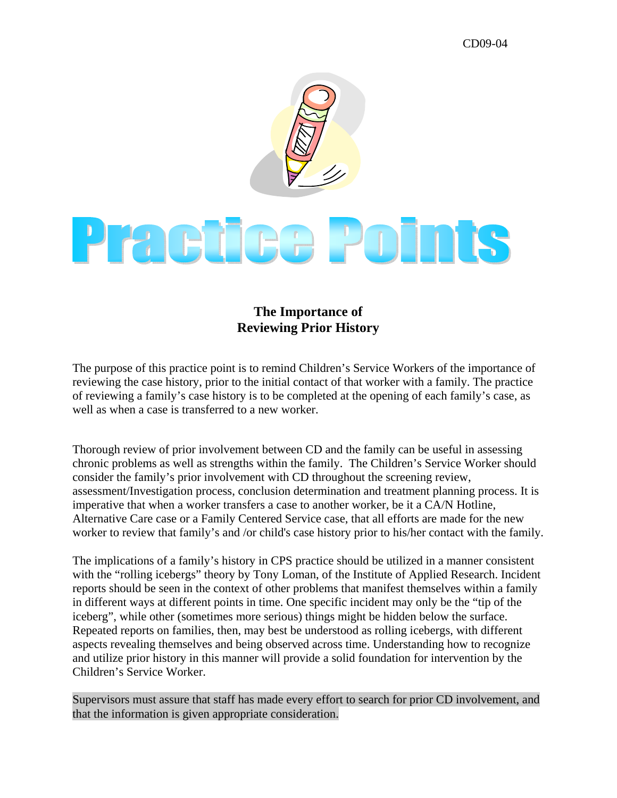## CD09-04



## **The Importance of Reviewing Prior History**

The purpose of this practice point is to remind Children's Service Workers of the importance of reviewing the case history, prior to the initial contact of that worker with a family. The practice of reviewing a family's case history is to be completed at the opening of each family's case, as well as when a case is transferred to a new worker.

Thorough review of prior involvement between CD and the family can be useful in assessing chronic problems as well as strengths within the family. The Children's Service Worker should consider the family's prior involvement with CD throughout the screening review, assessment/Investigation process, conclusion determination and treatment planning process. It is imperative that when a worker transfers a case to another worker, be it a CA/N Hotline, Alternative Care case or a Family Centered Service case, that all efforts are made for the new worker to review that family's and /or child's case history prior to his/her contact with the family.

The implications of a family's history in CPS practice should be utilized in a manner consistent with the "rolling icebergs" theory by Tony Loman, of the Institute of Applied Research. Incident reports should be seen in the context of other problems that manifest themselves within a family in different ways at different points in time. One specific incident may only be the "tip of the iceberg", while other (sometimes more serious) things might be hidden below the surface. Repeated reports on families, then, may best be understood as rolling icebergs, with different aspects revealing themselves and being observed across time. Understanding how to recognize and utilize prior history in this manner will provide a solid foundation for intervention by the Children's Service Worker.

Supervisors must assure that staff has made every effort to search for prior CD involvement, and that the information is given appropriate consideration.